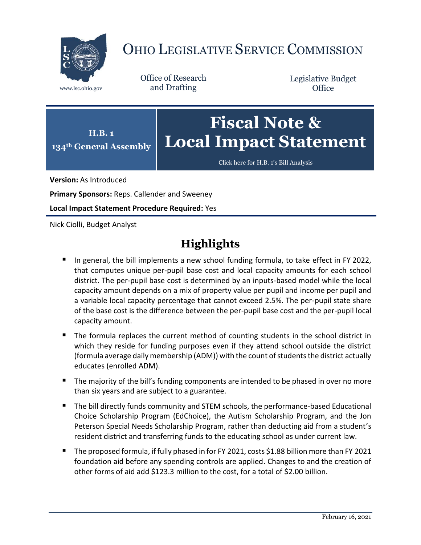

# OHIO LEGISLATIVE SERVICE COMMISSION

Office of Research www.lsc.ohio.gov and Drafting

Legislative Budget **Office** 



[Click here for H.B.](https://www.legislature.ohio.gov/legislation/legislation-documents?id=GA134-HB-1) 1's Bill Analysis

**Version:** As Introduced

**Primary Sponsors:** Reps. Callender and Sweeney

**Local Impact Statement Procedure Required:** Yes

Nick Ciolli, Budget Analyst

# **Highlights**

- In general, the bill implements a new school funding formula, to take effect in FY 2022, that computes unique per-pupil base cost and local capacity amounts for each school district. The per-pupil base cost is determined by an inputs-based model while the local capacity amount depends on a mix of property value per pupil and income per pupil and a variable local capacity percentage that cannot exceed 2.5%. The per-pupil state share of the base cost is the difference between the per-pupil base cost and the per-pupil local capacity amount.
- The formula replaces the current method of counting students in the school district in which they reside for funding purposes even if they attend school outside the district (formula average daily membership (ADM)) with the count of students the district actually educates (enrolled ADM).
- The majority of the bill's funding components are intended to be phased in over no more than six years and are subject to a guarantee.
- The bill directly funds community and STEM schools, the performance-based Educational Choice Scholarship Program (EdChoice), the Autism Scholarship Program, and the Jon Peterson Special Needs Scholarship Program, rather than deducting aid from a student's resident district and transferring funds to the educating school as under current law.
- The proposed formula, if fully phased in for FY 2021, costs \$1.88 billion more than FY 2021 foundation aid before any spending controls are applied. Changes to and the creation of other forms of aid add \$123.3 million to the cost, for a total of \$2.00 billion.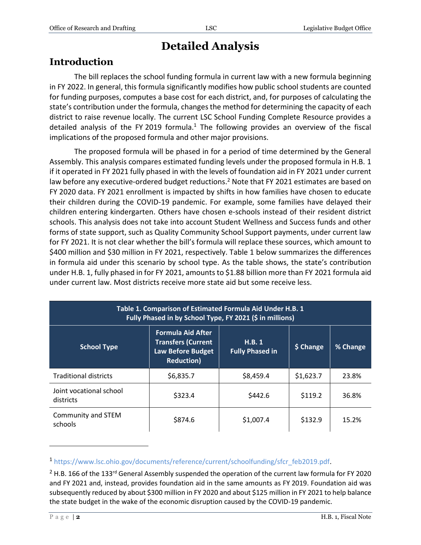# **Detailed Analysis**

# **Introduction**

The bill replaces the school funding formula in current law with a new formula beginning in FY 2022. In general, this formula significantly modifies how public school students are counted for funding purposes, computes a base cost for each district, and, for purposes of calculating the state's contribution under the formula, changes the method for determining the capacity of each district to raise revenue locally. The current LSC School Funding Complete Resource provides a detailed analysis of the FY 2019 formula.<sup>1</sup> The following provides an overview of the fiscal implications of the proposed formula and other major provisions.

The proposed formula will be phased in for a period of time determined by the General Assembly. This analysis compares estimated funding levels under the proposed formula in H.B. 1 if it operated in FY 2021 fully phased in with the levels of foundation aid in FY 2021 under current law before any executive-ordered budget reductions.<sup>2</sup> Note that FY 2021 estimates are based on FY 2020 data. FY 2021 enrollment is impacted by shifts in how families have chosen to educate their children during the COVID-19 pandemic. For example, some families have delayed their children entering kindergarten. Others have chosen e-schools instead of their resident district schools. This analysis does not take into account Student Wellness and Success funds and other forms of state support, such as Quality Community School Support payments, under current law for FY 2021. It is not clear whether the bill's formula will replace these sources, which amount to \$400 million and \$30 million in FY 2021, respectively. Table 1 below summarizes the differences in formula aid under this scenario by school type. As the table shows, the state's contribution under H.B. 1, fully phased in for FY 2021, amounts to \$1.88 billion more than FY 2021 formula aid under current law. Most districts receive more state aid but some receive less.

| Table 1. Comparison of Estimated Formula Aid Under H.B. 1<br>Fully Phased in by School Type, FY 2021 (\$ in millions) |                                                                                                        |                                 |           |          |  |
|-----------------------------------------------------------------------------------------------------------------------|--------------------------------------------------------------------------------------------------------|---------------------------------|-----------|----------|--|
| <b>School Type</b>                                                                                                    | <b>Formula Aid After</b><br><b>Transfers (Current</b><br><b>Law Before Budget</b><br><b>Reduction)</b> | H.B.1<br><b>Fully Phased in</b> | \$ Change | % Change |  |
| <b>Traditional districts</b>                                                                                          | \$6,835.7                                                                                              | \$8,459.4                       | \$1,623.7 | 23.8%    |  |
| Joint vocational school<br>districts                                                                                  | \$323.4                                                                                                | \$442.6                         | \$119.2   | 36.8%    |  |
| Community and STEM<br>schools                                                                                         | \$874.6                                                                                                | \$1,007.4                       | \$132.9   | 15.2%    |  |

<sup>1</sup> [https://www.lsc.ohio.gov/documents/reference/current/schoolfunding/sfcr\\_feb2019.pdf.](https://www.lsc.ohio.gov/documents/reference/current/schoolfunding/sfcr_feb2019.pdf)

 $\overline{a}$ 

 $2$  H.B. 166 of the 133<sup>rd</sup> General Assembly suspended the operation of the current law formula for FY 2020 and FY 2021 and, instead, provides foundation aid in the same amounts as FY 2019. Foundation aid was subsequently reduced by about \$300 million in FY 2020 and about \$125 million in FY 2021 to help balance the state budget in the wake of the economic disruption caused by the COVID-19 pandemic.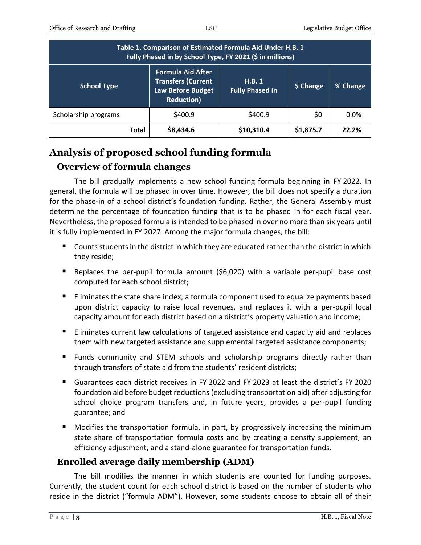| Table 1. Comparison of Estimated Formula Aid Under H.B. 1<br>Fully Phased in by School Type, FY 2021 (\$ in millions) |                                                                                                         |                                  |           |          |  |
|-----------------------------------------------------------------------------------------------------------------------|---------------------------------------------------------------------------------------------------------|----------------------------------|-----------|----------|--|
| <b>School Type</b>                                                                                                    | <b>Formula Aid After</b><br><b>Transfers (Current</b><br><b>Law Before Budget</b><br><b>Reduction</b> ) | H.B. 1<br><b>Fully Phased in</b> | \$ Change | % Change |  |
| Scholarship programs                                                                                                  | \$400.9                                                                                                 | \$400.9                          | \$0       | 0.0%     |  |
| <b>Total</b>                                                                                                          | \$8,434.6                                                                                               | \$10,310.4                       | \$1,875.7 | 22.2%    |  |

# **Analysis of proposed school funding formula**

# **Overview of formula changes**

The bill gradually implements a new school funding formula beginning in FY 2022. In general, the formula will be phased in over time. However, the bill does not specify a duration for the phase-in of a school district's foundation funding. Rather, the General Assembly must determine the percentage of foundation funding that is to be phased in for each fiscal year. Nevertheless, the proposed formula is intended to be phased in over no more than six years until it is fully implemented in FY 2027. Among the major formula changes, the bill:

- $\blacksquare$  Counts students in the district in which they are educated rather than the district in which they reside;
- Replaces the per-pupil formula amount (\$6,020) with a variable per-pupil base cost computed for each school district;
- Eliminates the state share index, a formula component used to equalize payments based upon district capacity to raise local revenues, and replaces it with a per-pupil local capacity amount for each district based on a district's property valuation and income;
- **Eliminates current law calculations of targeted assistance and capacity aid and replaces** them with new targeted assistance and supplemental targeted assistance components;
- Funds community and STEM schools and scholarship programs directly rather than through transfers of state aid from the students' resident districts;
- Guarantees each district receives in FY 2022 and FY 2023 at least the district's FY 2020 foundation aid before budget reductions (excluding transportation aid) after adjusting for school choice program transfers and, in future years, provides a per-pupil funding guarantee; and
- Modifies the transportation formula, in part, by progressively increasing the minimum state share of transportation formula costs and by creating a density supplement, an efficiency adjustment, and a stand-alone guarantee for transportation funds.

# **Enrolled average daily membership (ADM)**

The bill modifies the manner in which students are counted for funding purposes. Currently, the student count for each school district is based on the number of students who reside in the district ("formula ADM"). However, some students choose to obtain all of their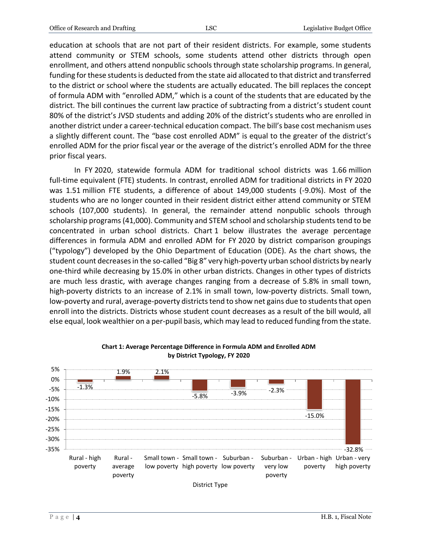education at schools that are not part of their resident districts. For example, some students attend community or STEM schools, some students attend other districts through open enrollment, and others attend nonpublic schools through state scholarship programs. In general, funding for these students is deducted from the state aid allocated to that district and transferred to the district or school where the students are actually educated. The bill replaces the concept of formula ADM with "enrolled ADM," which is a count of the students that are educated by the district. The bill continues the current law practice of subtracting from a district's student count 80% of the district's JVSD students and adding 20% of the district's students who are enrolled in another district under a career-technical education compact. The bill's base cost mechanism uses a slightly different count. The "base cost enrolled ADM" is equal to the greater of the district's enrolled ADM for the prior fiscal year or the average of the district's enrolled ADM for the three prior fiscal years.

In FY 2020, statewide formula ADM for traditional school districts was 1.66 million full-time equivalent (FTE) students. In contrast, enrolled ADM for traditional districts in FY 2020 was 1.51 million FTE students, a difference of about 149,000 students (-9.0%). Most of the students who are no longer counted in their resident district either attend community or STEM schools (107,000 students). In general, the remainder attend nonpublic schools through scholarship programs (41,000). Community and STEM school and scholarship students tend to be concentrated in urban school districts. Chart 1 below illustrates the average percentage differences in formula ADM and enrolled ADM for FY 2020 by district comparison groupings ("typology") developed by the Ohio Department of Education (ODE). As the chart shows, the student count decreases in the so-called "Big 8" very high-poverty urban school districts by nearly one-third while decreasing by 15.0% in other urban districts. Changes in other types of districts are much less drastic, with average changes ranging from a decrease of 5.8% in small town, high-poverty districts to an increase of 2.1% in small town, low-poverty districts. Small town, low-poverty and rural, average-poverty districts tend to show net gains due to students that open enroll into the districts. Districts whose student count decreases as a result of the bill would, all else equal, look wealthier on a per-pupil basis, which may lead to reduced funding from the state.



#### **Chart 1: Average Percentage Difference in Formula ADM and Enrolled ADM by District Typology, FY 2020**

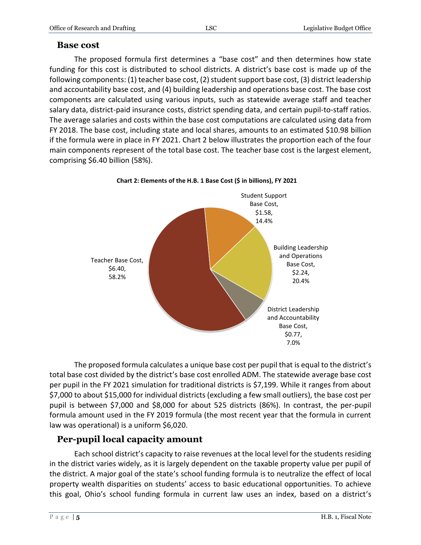# **Base cost**

The proposed formula first determines a "base cost" and then determines how state funding for this cost is distributed to school districts. A district's base cost is made up of the following components: (1) teacher base cost, (2) student support base cost, (3) district leadership and accountability base cost, and (4) building leadership and operations base cost. The base cost components are calculated using various inputs, such as statewide average staff and teacher salary data, district-paid insurance costs, district spending data, and certain pupil-to-staff ratios. The average salaries and costs within the base cost computations are calculated using data from FY 2018. The base cost, including state and local shares, amounts to an estimated \$10.98 billion if the formula were in place in FY 2021. Chart 2 below illustrates the proportion each of the four main components represent of the total base cost. The teacher base cost is the largest element, comprising \$6.40 billion (58%).



**Chart 2: Elements of the H.B. 1 Base Cost (\$ in billions), FY 2021**

The proposed formula calculates a unique base cost per pupil that is equal to the district's total base cost divided by the district's base cost enrolled ADM. The statewide average base cost per pupil in the FY 2021 simulation for traditional districts is \$7,199. While it ranges from about \$7,000 to about \$15,000 for individual districts (excluding a few small outliers), the base cost per pupil is between \$7,000 and \$8,000 for about 525 districts (86%). In contrast, the per-pupil formula amount used in the FY 2019 formula (the most recent year that the formula in current law was operational) is a uniform \$6,020.

# **Per-pupil local capacity amount**

Each school district's capacity to raise revenues at the local level for the students residing in the district varies widely, as it is largely dependent on the taxable property value per pupil of the district. A major goal of the state's school funding formula is to neutralize the effect of local property wealth disparities on students' access to basic educational opportunities. To achieve this goal, Ohio's school funding formula in current law uses an index, based on a district's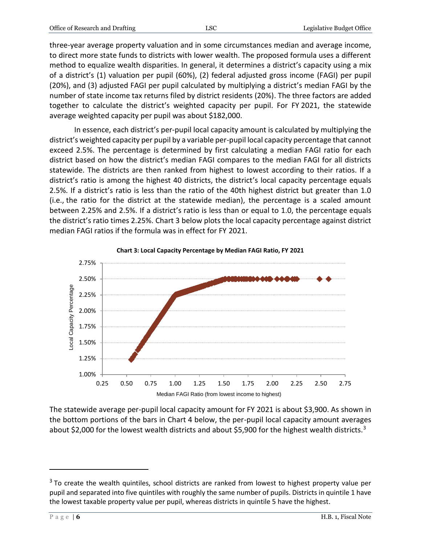three-year average property valuation and in some circumstances median and average income, to direct more state funds to districts with lower wealth. The proposed formula uses a different method to equalize wealth disparities. In general, it determines a district's capacity using a mix of a district's (1) valuation per pupil (60%), (2) federal adjusted gross income (FAGI) per pupil (20%), and (3) adjusted FAGI per pupil calculated by multiplying a district's median FAGI by the number of state income tax returns filed by district residents (20%). The three factors are added together to calculate the district's weighted capacity per pupil. For FY 2021, the statewide average weighted capacity per pupil was about \$182,000.

In essence, each district's per-pupil local capacity amount is calculated by multiplying the district's weighted capacity per pupil by a variable per-pupil local capacity percentage that cannot exceed 2.5%. The percentage is determined by first calculating a median FAGI ratio for each district based on how the district's median FAGI compares to the median FAGI for all districts statewide. The districts are then ranked from highest to lowest according to their ratios. If a district's ratio is among the highest 40 districts, the district's local capacity percentage equals 2.5%. If a district's ratio is less than the ratio of the 40th highest district but greater than 1.0 (i.e., the ratio for the district at the statewide median), the percentage is a scaled amount between 2.25% and 2.5%. If a district's ratio is less than or equal to 1.0, the percentage equals the district's ratio times 2.25%. Chart 3 below plots the local capacity percentage against district median FAGI ratios if the formula was in effect for FY 2021.



The statewide average per-pupil local capacity amount for FY 2021 is about \$3,900. As shown in the bottom portions of the bars in Chart 4 below, the per-pupil local capacity amount averages about \$2,000 for the lowest wealth districts and about \$5,900 for the highest wealth districts.<sup>3</sup>

 $\overline{a}$ 

<sup>&</sup>lt;sup>3</sup> To create the wealth quintiles, school districts are ranked from lowest to highest property value per pupil and separated into five quintiles with roughly the same number of pupils. Districts in quintile 1 have the lowest taxable property value per pupil, whereas districts in quintile 5 have the highest.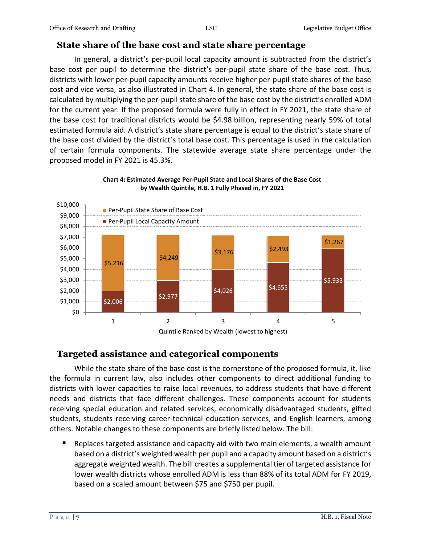# **State share of the base cost and state share percentage**

In general, a district's per-pupil local capacity amount is subtracted from the district's base cost per pupil to determine the district's per-pupil state share of the base cost. Thus, districts with lower per-pupil capacity amounts receive higher per-pupil state shares of the base cost and vice versa, as also illustrated in Chart 4. In general, the state share of the base cost is calculated by multiplying the per-pupil state share of the base cost by the district's enrolled ADM for the current year. If the proposed formula were fully in effect in FY 2021, the state share of the base cost for traditional districts would be \$4.98 billion, representing nearly 59% of total estimated formula aid. A district's state share percentage is equal to the district's state share of the base cost divided by the district's total base cost. This percentage is used in the calculation of certain formula components. The statewide average state share percentage under the proposed model in FY 2021 is 45.3%.



#### **Chart 4: Estimated Average Per-Pupil State and Local Shares of the Base Cost by Wealth Quintile, H.B. 1 Fully Phased in, FY 2021**

# **Targeted assistance and categorical components**

While the state share of the base cost is the cornerstone of the proposed formula, it, like the formula in current law, also includes other components to direct additional funding to districts with lower capacities to raise local revenues, to address students that have different needs and districts that face different challenges. These components account for students receiving special education and related services, economically disadvantaged students, gifted students, students receiving career-technical education services, and English learners, among others. Notable changes to these components are briefly listed below. The bill:

 Replaces targeted assistance and capacity aid with two main elements, a wealth amount based on a district's weighted wealth per pupil and a capacity amount based on a district's aggregate weighted wealth. The bill creates a supplemental tier of targeted assistance for lower wealth districts whose enrolled ADM is less than 88% of its total ADM for FY 2019, based on a scaled amount between \$75 and \$750 per pupil.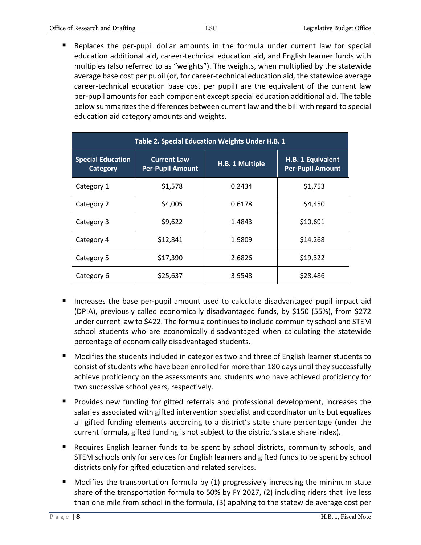Replaces the per-pupil dollar amounts in the formula under current law for special education additional aid, career-technical education aid, and English learner funds with multiples (also referred to as "weights"). The weights, when multiplied by the statewide average base cost per pupil (or, for career-technical education aid, the statewide average career-technical education base cost per pupil) are the equivalent of the current law per-pupil amounts for each component except special education additional aid. The table below summarizes the differences between current law and the bill with regard to special education aid category amounts and weights.

| Table 2. Special Education Weights Under H.B. 1 |                                               |                 |                                              |  |  |
|-------------------------------------------------|-----------------------------------------------|-----------------|----------------------------------------------|--|--|
| <b>Special Education</b><br>Category            | <b>Current Law</b><br><b>Per-Pupil Amount</b> | H.B. 1 Multiple | H.B. 1 Equivalent<br><b>Per-Pupil Amount</b> |  |  |
| Category 1                                      | \$1,578                                       | 0.2434          | \$1,753                                      |  |  |
| Category 2                                      | \$4,005                                       | 0.6178          | \$4,450                                      |  |  |
| Category 3                                      | \$9,622                                       | 1.4843          | \$10,691                                     |  |  |
| Category 4                                      | \$12,841                                      | 1.9809          | \$14,268                                     |  |  |
| Category 5                                      | \$17,390                                      | 2.6826          | \$19,322                                     |  |  |
| Category 6                                      | \$25,637                                      | 3.9548          | \$28,486                                     |  |  |

- Increases the base per-pupil amount used to calculate disadvantaged pupil impact aid (DPIA), previously called economically disadvantaged funds, by \$150 (55%), from \$272 under current law to \$422. The formula continues to include community school and STEM school students who are economically disadvantaged when calculating the statewide percentage of economically disadvantaged students.
- **Modifies the students included in categories two and three of English learner students to** consist of students who have been enrolled for more than 180 days until they successfully achieve proficiency on the assessments and students who have achieved proficiency for two successive school years, respectively.
- Provides new funding for gifted referrals and professional development, increases the salaries associated with gifted intervention specialist and coordinator units but equalizes all gifted funding elements according to a district's state share percentage (under the current formula, gifted funding is not subject to the district's state share index).
- Requires English learner funds to be spent by school districts, community schools, and STEM schools only for services for English learners and gifted funds to be spent by school districts only for gifted education and related services.
- Modifies the transportation formula by (1) progressively increasing the minimum state share of the transportation formula to 50% by FY 2027, (2) including riders that live less than one mile from school in the formula, (3) applying to the statewide average cost per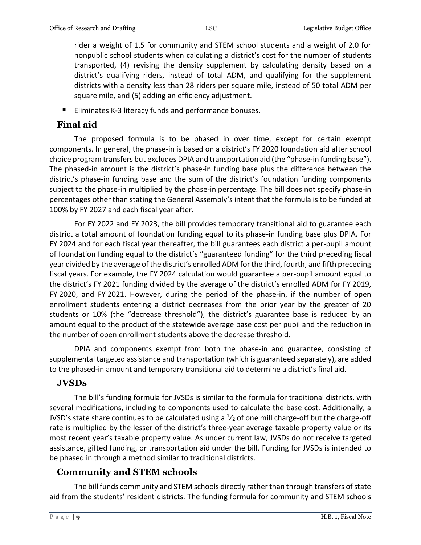rider a weight of 1.5 for community and STEM school students and a weight of 2.0 for nonpublic school students when calculating a district's cost for the number of students transported, (4) revising the density supplement by calculating density based on a district's qualifying riders, instead of total ADM, and qualifying for the supplement districts with a density less than 28 riders per square mile, instead of 50 total ADM per square mile, and (5) adding an efficiency adjustment.

■ Eliminates K-3 literacy funds and performance bonuses.

# **Final aid**

The proposed formula is to be phased in over time, except for certain exempt components. In general, the phase-in is based on a district's FY 2020 foundation aid after school choice program transfers but excludes DPIA and transportation aid (the "phase-in funding base"). The phased-in amount is the district's phase-in funding base plus the difference between the district's phase-in funding base and the sum of the district's foundation funding components subject to the phase-in multiplied by the phase-in percentage. The bill does not specify phase-in percentages other than stating the General Assembly's intent that the formula is to be funded at 100% by FY 2027 and each fiscal year after.

For FY 2022 and FY 2023, the bill provides temporary transitional aid to guarantee each district a total amount of foundation funding equal to its phase-in funding base plus DPIA. For FY 2024 and for each fiscal year thereafter, the bill guarantees each district a per-pupil amount of foundation funding equal to the district's "guaranteed funding" for the third preceding fiscal year divided by the average of the district's enrolled ADM for the third, fourth, and fifth preceding fiscal years. For example, the FY 2024 calculation would guarantee a per-pupil amount equal to the district's FY 2021 funding divided by the average of the district's enrolled ADM for FY 2019, FY 2020, and FY 2021. However, during the period of the phase-in, if the number of open enrollment students entering a district decreases from the prior year by the greater of 20 students or 10% (the "decrease threshold"), the district's guarantee base is reduced by an amount equal to the product of the statewide average base cost per pupil and the reduction in the number of open enrollment students above the decrease threshold.

DPIA and components exempt from both the phase-in and guarantee, consisting of supplemental targeted assistance and transportation (which is guaranteed separately), are added to the phased-in amount and temporary transitional aid to determine a district's final aid.

# **JVSDs**

The bill's funding formula for JVSDs is similar to the formula for traditional districts, with several modifications, including to components used to calculate the base cost. Additionally, a JVSD's state share continues to be calculated using a  $\frac{1}{2}$  of one mill charge-off but the charge-off rate is multiplied by the lesser of the district's three-year average taxable property value or its most recent year's taxable property value. As under current law, JVSDs do not receive targeted assistance, gifted funding, or transportation aid under the bill. Funding for JVSDs is intended to be phased in through a method similar to traditional districts.

# **Community and STEM schools**

The bill funds community and STEM schools directly rather than through transfers of state aid from the students' resident districts. The funding formula for community and STEM schools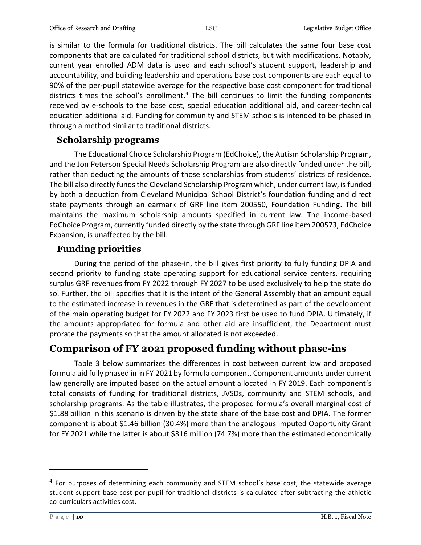is similar to the formula for traditional districts. The bill calculates the same four base cost components that are calculated for traditional school districts, but with modifications. Notably, current year enrolled ADM data is used and each school's student support, leadership and accountability, and building leadership and operations base cost components are each equal to 90% of the per-pupil statewide average for the respective base cost component for traditional districts times the school's enrollment.<sup>4</sup> The bill continues to limit the funding components received by e-schools to the base cost, special education additional aid, and career-technical education additional aid. Funding for community and STEM schools is intended to be phased in through a method similar to traditional districts.

#### **Scholarship programs**

The Educational Choice Scholarship Program (EdChoice), the Autism Scholarship Program, and the Jon Peterson Special Needs Scholarship Program are also directly funded under the bill, rather than deducting the amounts of those scholarships from students' districts of residence. The bill also directly funds the Cleveland Scholarship Program which, under current law, is funded by both a deduction from Cleveland Municipal School District's foundation funding and direct state payments through an earmark of GRF line item 200550, Foundation Funding. The bill maintains the maximum scholarship amounts specified in current law. The income-based EdChoice Program, currently funded directly by the state through GRF line item 200573, EdChoice Expansion, is unaffected by the bill.

### **Funding priorities**

During the period of the phase-in, the bill gives first priority to fully funding DPIA and second priority to funding state operating support for educational service centers, requiring surplus GRF revenues from FY 2022 through FY 2027 to be used exclusively to help the state do so. Further, the bill specifies that it is the intent of the General Assembly that an amount equal to the estimated increase in revenues in the GRF that is determined as part of the development of the main operating budget for FY 2022 and FY 2023 first be used to fund DPIA. Ultimately, if the amounts appropriated for formula and other aid are insufficient, the Department must prorate the payments so that the amount allocated is not exceeded.

# **Comparison of FY 2021 proposed funding without phase-ins**

Table 3 below summarizes the differences in cost between current law and proposed formula aid fully phased in in FY 2021 by formula component. Component amounts under current law generally are imputed based on the actual amount allocated in FY 2019. Each component's total consists of funding for traditional districts, JVSDs, community and STEM schools, and scholarship programs. As the table illustrates, the proposed formula's overall marginal cost of \$1.88 billion in this scenario is driven by the state share of the base cost and DPIA. The former component is about \$1.46 billion (30.4%) more than the analogous imputed Opportunity Grant for FY 2021 while the latter is about \$316 million (74.7%) more than the estimated economically

 $\overline{a}$ 

<sup>&</sup>lt;sup>4</sup> For purposes of determining each community and STEM school's base cost, the statewide average student support base cost per pupil for traditional districts is calculated after subtracting the athletic co-curriculars activities cost.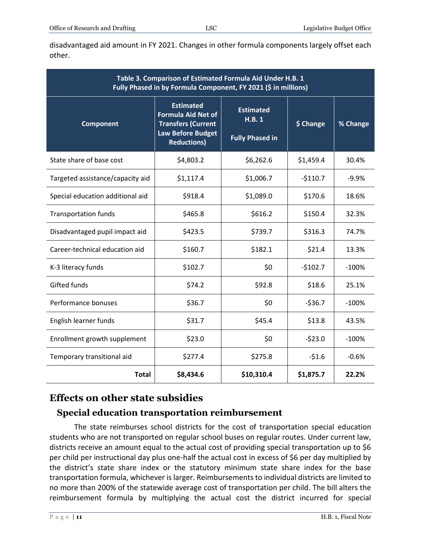disadvantaged aid amount in FY 2021. Changes in other formula components largely offset each other.

| Table 3. Comparison of Estimated Formula Aid Under H.B. 1<br>Fully Phased in by Formula Component, FY 2021 (\$ in millions) |                                                                                                                              |                                                     |           |          |  |
|-----------------------------------------------------------------------------------------------------------------------------|------------------------------------------------------------------------------------------------------------------------------|-----------------------------------------------------|-----------|----------|--|
| <b>Component</b>                                                                                                            | <b>Estimated</b><br><b>Formula Aid Net of</b><br><b>Transfers (Current</b><br><b>Law Before Budget</b><br><b>Reductions)</b> | <b>Estimated</b><br>H.B.1<br><b>Fully Phased in</b> | \$ Change | % Change |  |
| State share of base cost                                                                                                    | \$4,803.2                                                                                                                    | \$6,262.6                                           | \$1,459.4 | 30.4%    |  |
| Targeted assistance/capacity aid                                                                                            | \$1,117.4                                                                                                                    | \$1,006.7                                           | $-5110.7$ | $-9.9%$  |  |
| Special education additional aid                                                                                            | \$918.4                                                                                                                      | \$1,089.0                                           | \$170.6   | 18.6%    |  |
| <b>Transportation funds</b>                                                                                                 | \$465.8                                                                                                                      | \$616.2                                             | \$150.4   | 32.3%    |  |
| Disadvantaged pupil impact aid                                                                                              | \$423.5                                                                                                                      | \$739.7                                             | \$316.3   | 74.7%    |  |
| Career-technical education aid                                                                                              | \$160.7                                                                                                                      | \$182.1                                             | \$21.4    | 13.3%    |  |
| K-3 literacy funds                                                                                                          | \$102.7                                                                                                                      | \$0                                                 | $-5102.7$ | $-100%$  |  |
| Gifted funds                                                                                                                | \$74.2                                                                                                                       | \$92.8                                              | \$18.6    | 25.1%    |  |
| Performance bonuses                                                                                                         | \$36.7                                                                                                                       | \$0                                                 | $-536.7$  | $-100%$  |  |
| English learner funds                                                                                                       | \$31.7                                                                                                                       | \$45.4                                              | \$13.8    | 43.5%    |  |
| Enrollment growth supplement                                                                                                | \$23.0                                                                                                                       | \$0                                                 | $-523.0$  | $-100%$  |  |
| Temporary transitional aid                                                                                                  | \$277.4                                                                                                                      | \$275.8                                             | $-51.6$   | $-0.6%$  |  |
| <b>Total</b>                                                                                                                | \$8,434.6                                                                                                                    | \$10,310.4                                          | \$1,875.7 | 22.2%    |  |

# **Effects on other state subsidies**

# **Special education transportation reimbursement**

The state reimburses school districts for the cost of transportation special education students who are not transported on regular school buses on regular routes. Under current law, districts receive an amount equal to the actual cost of providing special transportation up to \$6 per child per instructional day plus one-half the actual cost in excess of \$6 per day multiplied by the district's state share index or the statutory minimum state share index for the base transportation formula, whichever is larger. Reimbursements to individual districts are limited to no more than 200% of the statewide average cost of transportation per child. The bill alters the reimbursement formula by multiplying the actual cost the district incurred for special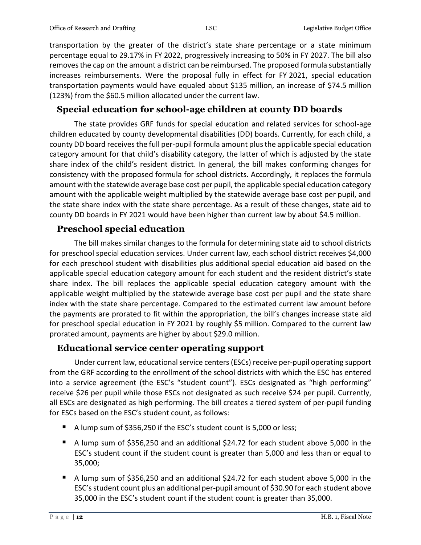transportation by the greater of the district's state share percentage or a state minimum percentage equal to 29.17% in FY 2022, progressively increasing to 50% in FY 2027. The bill also removes the cap on the amount a district can be reimbursed. The proposed formula substantially increases reimbursements. Were the proposal fully in effect for FY 2021, special education transportation payments would have equaled about \$135 million, an increase of \$74.5 million (123%) from the \$60.5 million allocated under the current law.

## **Special education for school-age children at county DD boards**

The state provides GRF funds for special education and related services for school-age children educated by county developmental disabilities (DD) boards. Currently, for each child, a county DD board receives the full per-pupil formula amount plus the applicable special education category amount for that child's disability category, the latter of which is adjusted by the state share index of the child's resident district. In general, the bill makes conforming changes for consistency with the proposed formula for school districts. Accordingly, it replaces the formula amount with the statewide average base cost per pupil, the applicable special education category amount with the applicable weight multiplied by the statewide average base cost per pupil, and the state share index with the state share percentage. As a result of these changes, state aid to county DD boards in FY 2021 would have been higher than current law by about \$4.5 million.

# **Preschool special education**

The bill makes similar changes to the formula for determining state aid to school districts for preschool special education services. Under current law, each school district receives \$4,000 for each preschool student with disabilities plus additional special education aid based on the applicable special education category amount for each student and the resident district's state share index. The bill replaces the applicable special education category amount with the applicable weight multiplied by the statewide average base cost per pupil and the state share index with the state share percentage. Compared to the estimated current law amount before the payments are prorated to fit within the appropriation, the bill's changes increase state aid for preschool special education in FY 2021 by roughly \$5 million. Compared to the current law prorated amount, payments are higher by about \$29.0 million.

### **Educational service center operating support**

Under current law, educational service centers (ESCs) receive per-pupil operating support from the GRF according to the enrollment of the school districts with which the ESC has entered into a service agreement (the ESC's "student count"). ESCs designated as "high performing" receive \$26 per pupil while those ESCs not designated as such receive \$24 per pupil. Currently, all ESCs are designated as high performing. The bill creates a tiered system of per-pupil funding for ESCs based on the ESC's student count, as follows:

- A lump sum of \$356,250 if the ESC's student count is 5,000 or less;
- A lump sum of \$356,250 and an additional \$24.72 for each student above 5,000 in the ESC's student count if the student count is greater than 5,000 and less than or equal to 35,000;
- A lump sum of \$356,250 and an additional \$24.72 for each student above 5,000 in the ESC's student count plus an additional per-pupil amount of \$30.90 for each student above 35,000 in the ESC's student count if the student count is greater than 35,000.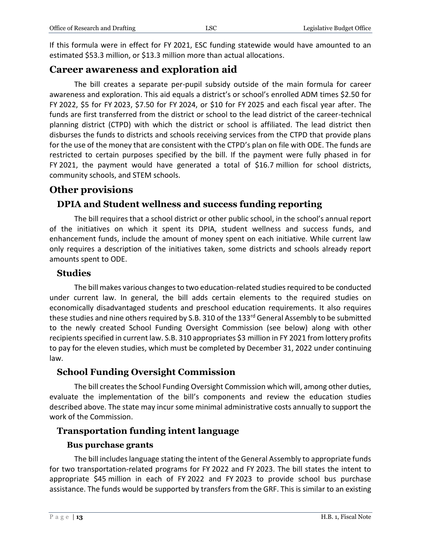If this formula were in effect for FY 2021, ESC funding statewide would have amounted to an estimated \$53.3 million, or \$13.3 million more than actual allocations.

# **Career awareness and exploration aid**

The bill creates a separate per-pupil subsidy outside of the main formula for career awareness and exploration. This aid equals a district's or school's enrolled ADM times \$2.50 for FY 2022, \$5 for FY 2023, \$7.50 for FY 2024, or \$10 for FY 2025 and each fiscal year after. The funds are first transferred from the district or school to the lead district of the career-technical planning district (CTPD) with which the district or school is affiliated. The lead district then disburses the funds to districts and schools receiving services from the CTPD that provide plans for the use of the money that are consistent with the CTPD's plan on file with ODE. The funds are restricted to certain purposes specified by the bill. If the payment were fully phased in for FY 2021, the payment would have generated a total of \$16.7 million for school districts, community schools, and STEM schools.

# **Other provisions**

# **DPIA and Student wellness and success funding reporting**

The bill requires that a school district or other public school, in the school's annual report of the initiatives on which it spent its DPIA, student wellness and success funds, and enhancement funds, include the amount of money spent on each initiative. While current law only requires a description of the initiatives taken, some districts and schools already report amounts spent to ODE.

#### **Studies**

The bill makes various changes to two education-related studies required to be conducted under current law. In general, the bill adds certain elements to the required studies on economically disadvantaged students and preschool education requirements. It also requires these studies and nine others required by S.B. 310 of the 133rd General Assembly to be submitted to the newly created School Funding Oversight Commission (see below) along with other recipients specified in current law. S.B. 310 appropriates \$3 million in FY 2021 from lottery profits to pay for the eleven studies, which must be completed by December 31, 2022 under continuing law.

### **School Funding Oversight Commission**

The bill creates the School Funding Oversight Commission which will, among other duties, evaluate the implementation of the bill's components and review the education studies described above. The state may incur some minimal administrative costs annually to support the work of the Commission.

### **Transportation funding intent language**

#### **Bus purchase grants**

The bill includes language stating the intent of the General Assembly to appropriate funds for two transportation-related programs for FY 2022 and FY 2023. The bill states the intent to appropriate \$45 million in each of FY 2022 and FY 2023 to provide school bus purchase assistance. The funds would be supported by transfers from the GRF. This is similar to an existing